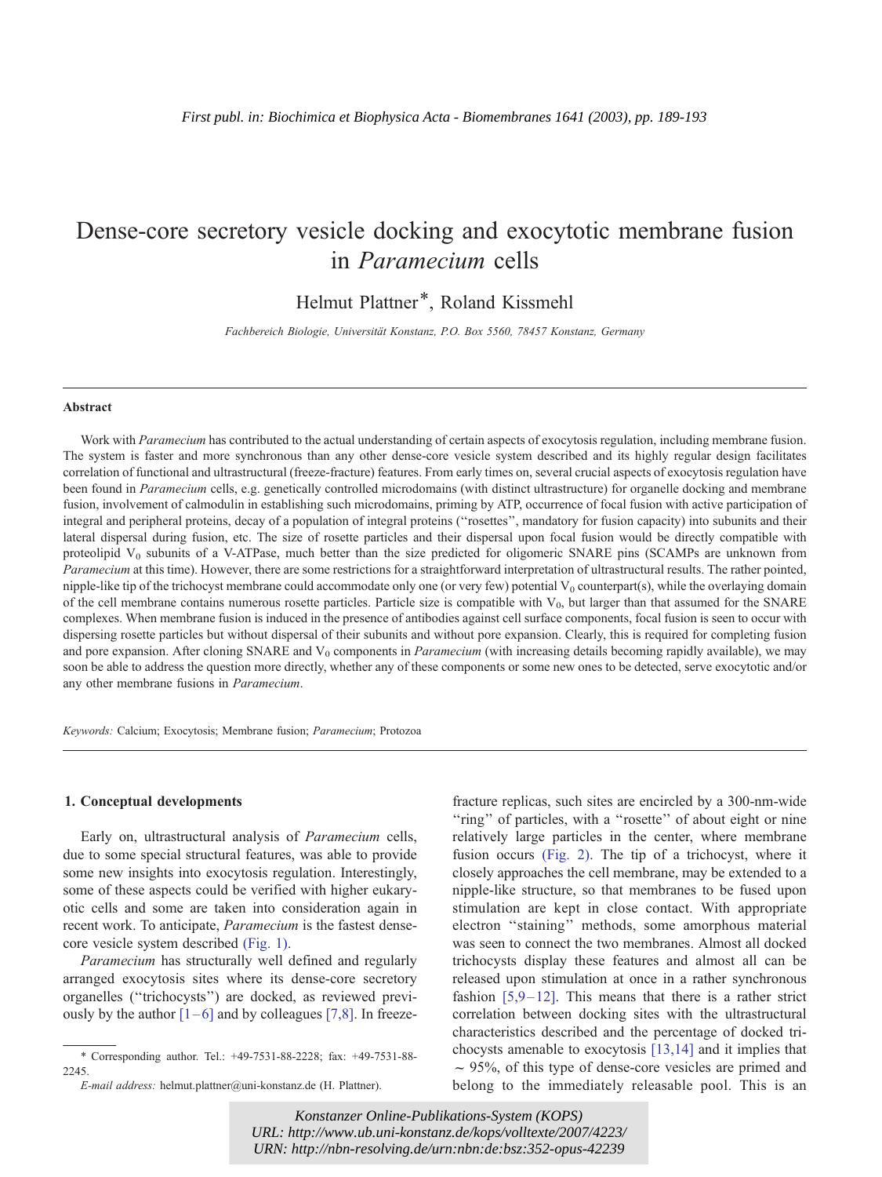# Dense-core secretory vesicle docking and exocytotic membrane fusion in Paramecium cells

Helmut Plattner\*, Roland Kissmehl

Fachbereich Biologie, Universität Konstanz, P.O. Box 5560, 78457 Konstanz, Germany

#### Abstract

Work with Paramecium has contributed to the actual understanding of certain aspects of exocytosis regulation, including membrane fusion. The system is faster and more synchronous than any other dense-core vesicle system described and its highly regular design facilitates correlation of functional and ultrastructural (freeze-fracture) features. From early times on, several crucial aspects of exocytosis regulation have been found in *Paramecium* cells, e.g. genetically controlled microdomains (with distinct ultrastructure) for organelle docking and membrane fusion, involvement of calmodulin in establishing such microdomains, priming by ATP, occurrence of focal fusion with active participation of integral and peripheral proteins, decay of a population of integral proteins (''rosettes'', mandatory for fusion capacity) into subunits and their lateral dispersal during fusion, etc. The size of rosette particles and their dispersal upon focal fusion would be directly compatible with proteolipid  $V_0$  subunits of a V-ATPase, much better than the size predicted for oligomeric SNARE pins (SCAMPs are unknown from Paramecium at this time). However, there are some restrictions for a straightforward interpretation of ultrastructural results. The rather pointed, nipple-like tip of the trichocyst membrane could accommodate only one (or very few) potential  $V_0$  counterpart(s), while the overlaying domain of the cell membrane contains numerous rosette particles. Particle size is compatible with  $V_0$ , but larger than that assumed for the SNARE complexes. When membrane fusion is induced in the presence of antibodies against cell surface components, focal fusion is seen to occur with dispersing rosette particles but without dispersal of their subunits and without pore expansion. Clearly, this is required for completing fusion and pore expansion. After cloning SNARE and  $V_0$  components in *Paramecium* (with increasing details becoming rapidly available), we may soon be able to address the question more directly, whether any of these components or some new ones to be detected, serve exocytotic and/or any other membrane fusions in Paramecium.

Keywords: Calcium; Exocytosis; Membrane fusion; Paramecium; Protozoa

#### 1. Conceptual developments

Early on, ultrastructural analysis of Paramecium cells, due to some special structural features, was able to provide some new insights into exocytosis regulation. Interestingly, some of these aspects could be verified with higher eukaryotic cells and some are taken into consideration again in recent work. To anticipate, Paramecium is the fastest densecore vesicle system described [\(Fig. 1\).](#page-1-0)

Paramecium has structurally well defined and regularly arranged exocytosis sites where its dense-core secretory organelles (''trichocysts'') are docked, as reviewed previously by the author  $[1-6]$  and by colleagues  $[7,8]$ . In freezefracture replicas, such sites are encircled by a 300-nm-wide "ring" of particles, with a "rosette" of about eight or nine relatively large particles in the center, where membrane fusion occurs [\(Fig. 2\).](#page-2-0) The tip of a trichocyst, where it closely approaches the cell membrane, may be extended to a nipple-like structure, so that membranes to be fused upon stimulation are kept in close contact. With appropriate electron ''staining'' methods, some amorphous material was seen to connect the two membranes. Almost all docked trichocysts display these features and almost all can be released upon stimulation at once in a rather synchronous fashion  $[5,9-12]$ . This means that there is a rather strict correlation between docking sites with the ultrastructural characteristics described and the percentage of docked trichocysts amenable to exocytosis [\[13,14\]](#page-9-0) and it implies that  $\sim$  95%, of this type of dense-core vesicles are primed and belong to the immediately releasable pool. This is an

*Konstanzer Online-Publikations-System (KOPS) URL[: http://www.ub.uni-konstanz.de/kops/volltexte/2007/4223/](http://www.ub.uni-konstanz.de/kops/volltexte/2007/4223/)  URN[: http://nbn-resolving.de/urn:nbn:de:bsz:352-opus-42239](http://nbn-resolving.de/urn:nbn:de:bsz:352-opus-42239)*

<sup>\*</sup> Corresponding author. Tel.: +49-7531-88-2228; fax: +49-7531-88- 2245.

E-mail address: helmut.plattner@uni-konstanz.de (H. Plattner).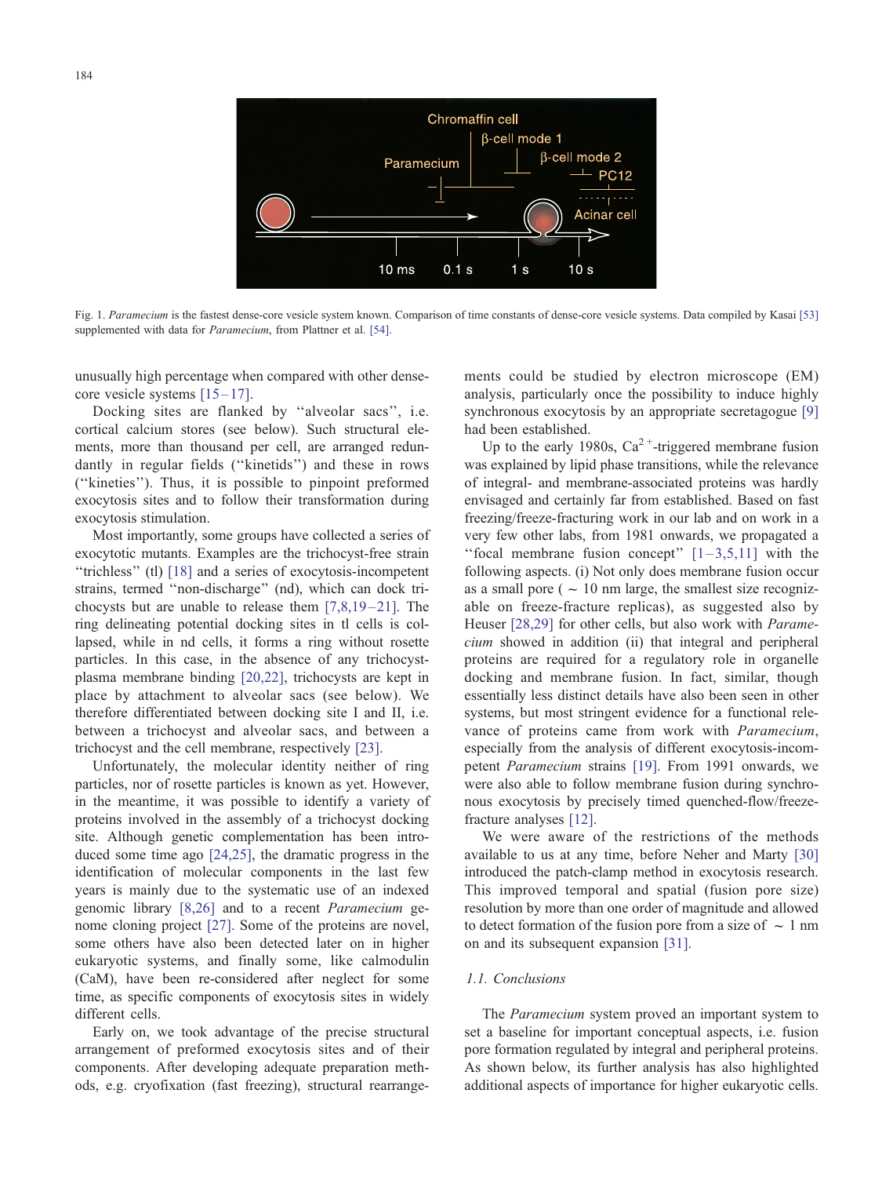<span id="page-1-0"></span>

Fig. 1. Paramecium is the fastest dense-core vesicle system known. Comparison of time constants of dense-core vesicle systems. Data compiled by Kasai [\[53\]](#page-9-0) supplemented with data for *Paramecium*, from Plattner et al. [\[54\].](#page-9-0)

unusually high percentage when compared with other densecore vesicle systems  $[15-17]$ .

Docking sites are flanked by ''alveolar sacs'', i.e. cortical calcium stores (see below). Such structural elements, more than thousand per cell, are arranged redundantly in regular fields (''kinetids'') and these in rows (''kineties''). Thus, it is possible to pinpoint preformed exocytosis sites and to follow their transformation during exocytosis stimulation.

Most importantly, some groups have collected a series of exocytotic mutants. Examples are the trichocyst-free strain ''trichless'' (tl) [\[18\]](#page-9-0) and a series of exocytosis-incompetent strains, termed ''non-discharge'' (nd), which can dock trichocysts but are unable to release them  $[7,8,19-21]$ . The ring delineating potential docking sites in tl cells is collapsed, while in nd cells, it forms a ring without rosette particles. In this case, in the absence of any trichocystplasma membrane binding [\[20,22\],](#page-9-0) trichocysts are kept in place by attachment to alveolar sacs (see below). We therefore differentiated between docking site I and II, i.e. between a trichocyst and alveolar sacs, and between a trichocyst and the cell membrane, respectively [\[23\].](#page-9-0)

Unfortunately, the molecular identity neither of ring particles, nor of rosette particles is known as yet. However, in the meantime, it was possible to identify a variety of proteins involved in the assembly of a trichocyst docking site. Although genetic complementation has been introduced some time ago [\[24,25\],](#page-9-0) the dramatic progress in the identification of molecular components in the last few years is mainly due to the systematic use of an indexed genomic library [\[8,26\]](#page-9-0) and to a recent Paramecium genome cloning project [\[27\].](#page-9-0) Some of the proteins are novel, some others have also been detected later on in higher eukaryotic systems, and finally some, like calmodulin (CaM), have been re-considered after neglect for some time, as specific components of exocytosis sites in widely different cells.

Early on, we took advantage of the precise structural arrangement of preformed exocytosis sites and of their components. After developing adequate preparation methods, e.g. cryofixation (fast freezing), structural rearrangements could be studied by electron microscope (EM) analysis, particularly once the possibility to induce highly synchronous exocytosis by an appropriate secretagogue [\[9\]](#page-9-0) had been established.

Up to the early 1980s,  $Ca^{2+}$ -triggered membrane fusion was explained by lipid phase transitions, while the relevance of integral- and membrane-associated proteins was hardly envisaged and certainly far from established. Based on fast freezing/freeze-fracturing work in our lab and on work in a very few other labs, from 1981 onwards, we propagated a "focal membrane fusion concept"  $[1-3,5,11]$  with the following aspects. (i) Not only does membrane fusion occur as a small pore ( $\sim 10$  nm large, the smallest size recognizable on freeze-fracture replicas), as suggested also by Heuser [\[28,29\]](#page-9-0) for other cells, but also work with Paramecium showed in addition (ii) that integral and peripheral proteins are required for a regulatory role in organelle docking and membrane fusion. In fact, similar, though essentially less distinct details have also been seen in other systems, but most stringent evidence for a functional relevance of proteins came from work with Paramecium, especially from the analysis of different exocytosis-incompetent Paramecium strains [\[19\].](#page-9-0) From 1991 onwards, we were also able to follow membrane fusion during synchronous exocytosis by precisely timed quenched-flow/freezefracture analyses [\[12\].](#page-9-0)

We were aware of the restrictions of the methods available to us at any time, before Neher and Marty [\[30\]](#page-9-0) introduced the patch-clamp method in exocytosis research. This improved temporal and spatial (fusion pore size) resolution by more than one order of magnitude and allowed to detect formation of the fusion pore from a size of  $\sim 1$  nm on and its subsequent expansion [\[31\].](#page-9-0)

## 1.1. Conclusions

The Paramecium system proved an important system to set a baseline for important conceptual aspects, i.e. fusion pore formation regulated by integral and peripheral proteins. As shown below, its further analysis has also highlighted additional aspects of importance for higher eukaryotic cells.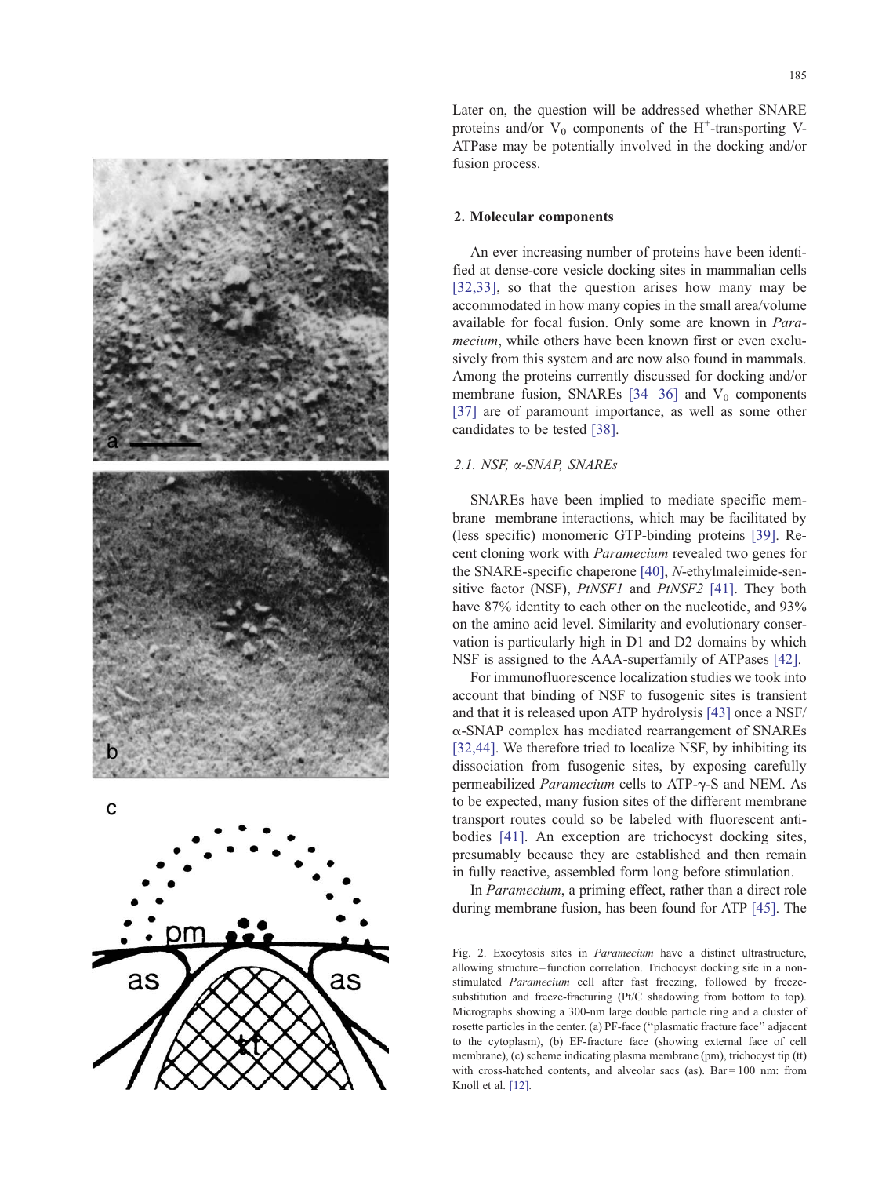<span id="page-2-0"></span>

Later on, the question will be addressed whether SNARE proteins and/or  $V_0$  components of the H<sup>+</sup>-transporting V-ATPase may be potentially involved in the docking and/or fusion process.

#### 2. Molecular components

An ever increasing number of proteins have been identified at dense-core vesicle docking sites in mammalian cells [\[32,33\],](#page-9-0) so that the question arises how many may be accommodated in how many copies in the small area/volume available for focal fusion. Only some are known in Paramecium, while others have been known first or even exclusively from this system and are now also found in mammals. Among the proteins currently discussed for docking and/or membrane fusion, SNAREs  $[34-36]$  and  $V_0$  components [\[37\]](#page-9-0) are of paramount importance, as well as some other candidates to be tested [\[38\].](#page-9-0)

## 2.1. NSF, a-SNAP, SNAREs

SNAREs have been implied to mediate specific membrane –membrane interactions, which may be facilitated by (less specific) monomeric GTP-binding proteins [\[39\].](#page-9-0) Recent cloning work with Paramecium revealed two genes for the SNARE-specific chaperone [\[40\],](#page-9-0) N-ethylmaleimide-sensitive factor (NSF), *PtNSF1* and *PtNSF2* [\[41\].](#page-9-0) They both have 87% identity to each other on the nucleotide, and 93% on the amino acid level. Similarity and evolutionary conservation is particularly high in D1 and D2 domains by which NSF is assigned to the AAA-superfamily of ATPases [\[42\].](#page-9-0)

For immunofluorescence localization studies we took into account that binding of NSF to fusogenic sites is transient and that it is released upon ATP hydrolysis [\[43\]](#page-9-0) once a NSF/ a-SNAP complex has mediated rearrangement of SNAREs [\[32,44\].](#page-9-0) We therefore tried to localize NSF, by inhibiting its dissociation from fusogenic sites, by exposing carefully permeabilized *Paramecium* cells to ATP- $\gamma$ -S and NEM. As to be expected, many fusion sites of the different membrane transport routes could so be labeled with fluorescent antibodies [\[41\].](#page-9-0) An exception are trichocyst docking sites, presumably because they are established and then remain in fully reactive, assembled form long before stimulation.

In Paramecium, a priming effect, rather than a direct role during membrane fusion, has been found for ATP [\[45\].](#page-9-0) The

Fig. 2. Exocytosis sites in Paramecium have a distinct ultrastructure, allowing structure – function correlation. Trichocyst docking site in a nonstimulated Paramecium cell after fast freezing, followed by freezesubstitution and freeze-fracturing (Pt/C shadowing from bottom to top). Micrographs showing a 300-nm large double particle ring and a cluster of rosette particles in the center. (a) PF-face (''plasmatic fracture face'' adjacent to the cytoplasm), (b) EF-fracture face (showing external face of cell membrane), (c) scheme indicating plasma membrane (pm), trichocyst tip (tt) with cross-hatched contents, and alveolar sacs (as). Bar =  $100 \text{ nm}$ : from Knoll et al. [\[12\].](#page-9-0)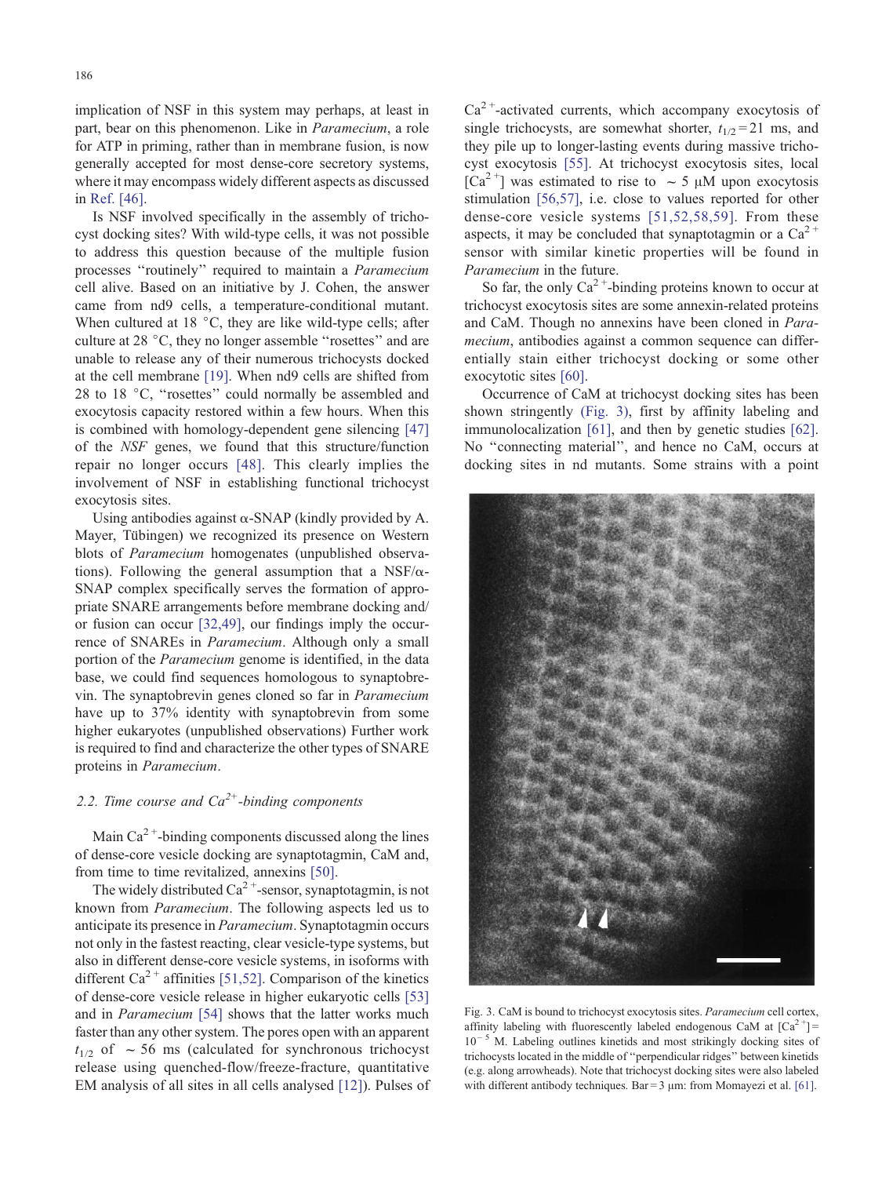implication of NSF in this system may perhaps, at least in part, bear on this phenomenon. Like in Paramecium, a role for ATP in priming, rather than in membrane fusion, is now generally accepted for most dense-core secretory systems, where it may encompass widely different aspects as discussed in [Ref. \[46\].](#page-9-0)

Is NSF involved specifically in the assembly of trichocyst docking sites? With wild-type cells, it was not possible to address this question because of the multiple fusion processes ''routinely'' required to maintain a Paramecium cell alive. Based on an initiative by J. Cohen, the answer came from nd9 cells, a temperature-conditional mutant. When cultured at 18  $\degree$ C, they are like wild-type cells; after culture at 28 °C, they no longer assemble "rosettes" and are unable to release any of their numerous trichocysts docked at the cell membrane [\[19\].](#page-9-0) When nd9 cells are shifted from 28 to 18 °C, "rosettes" could normally be assembled and exocytosis capacity restored within a few hours. When this is combined with homology-dependent gene silencing [\[47\]](#page-9-0) of the NSF genes, we found that this structure/function repair no longer occurs [\[48\].](#page-9-0) This clearly implies the involvement of NSF in establishing functional trichocyst exocytosis sites.

Using antibodies against  $\alpha$ -SNAP (kindly provided by A. Mayer, Tübingen) we recognized its presence on Western blots of Paramecium homogenates (unpublished observations). Following the general assumption that a NSF/ $\alpha$ -SNAP complex specifically serves the formation of appropriate SNARE arrangements before membrane docking and/ or fusion can occur [\[32,49\],](#page-9-0) our findings imply the occurrence of SNAREs in Paramecium. Although only a small portion of the Paramecium genome is identified, in the data base, we could find sequences homologous to synaptobrevin. The synaptobrevin genes cloned so far in Paramecium have up to 37% identity with synaptobrevin from some higher eukaryotes (unpublished observations) Further work is required to find and characterize the other types of SNARE proteins in Paramecium.

## 2.2. Time course and  $Ca^{2+}$ -binding components

Main  $Ca^{2+}$ -binding components discussed along the lines of dense-core vesicle docking are synaptotagmin, CaM and, from time to time revitalized, annexins [\[50\].](#page-9-0)

The widely distributed  $Ca^{2+}$ -sensor, synaptotagmin, is not known from Paramecium. The following aspects led us to anticipate its presence in Paramecium. Synaptotagmin occurs not only in the fastest reacting, clear vesicle-type systems, but also in different dense-core vesicle systems, in isoforms with different Ca<sup>2+</sup> affinities [\[51,52\].](#page-9-0) Comparison of the kinetics of dense-core vesicle release in higher eukaryotic cells [\[53\]](#page-9-0) and in Paramecium [\[54\]](#page-9-0) shows that the latter works much faster than any other system. The pores open with an apparent  $t_{1/2}$  of  $\sim$  56 ms (calculated for synchronous trichocyst release using quenched-flow/freeze-fracture, quantitative EM analysis of all sites in all cells analysed [\[12\]\)](#page-9-0). Pulses of  $Ca<sup>2+</sup>$ -activated currents, which accompany exocytosis of single trichocysts, are somewhat shorter,  $t_{1/2} = 21$  ms, and they pile up to longer-lasting events during massive trichocyst exocytosis [\[55\].](#page-9-0) At trichocyst exocytosis sites, local  $[Ca<sup>2+</sup>]$  was estimated to rise to  $\sim$  5  $\mu$ M upon exocytosis stimulation [\[56,57\],](#page-9-0) i.e. close to values reported for other dense-core vesicle systems [\[51,52,58,59\].](#page-9-0) From these aspects, it may be concluded that synaptotagmin or a  $Ca^{2+}$ sensor with similar kinetic properties will be found in Paramecium in the future.

So far, the only  $Ca^{2+}$ -binding proteins known to occur at trichocyst exocytosis sites are some annexin-related proteins and CaM. Though no annexins have been cloned in Paramecium, antibodies against a common sequence can differentially stain either trichocyst docking or some other exocytotic sites [\[60\].](#page-9-0)

Occurrence of CaM at trichocyst docking sites has been shown stringently (Fig. 3), first by affinity labeling and immunolocalization [\[61\],](#page-9-0) and then by genetic studies [\[62\].](#page-9-0) No ''connecting material'', and hence no CaM, occurs at docking sites in nd mutants. Some strains with a point



Fig. 3. CaM is bound to trichocyst exocytosis sites. Paramecium cell cortex, affinity labeling with fluorescently labeled endogenous CaM at  $[Ca^{2+}]$  =  $10^{-5}$  M. Labeling outlines kinetids and most strikingly docking sites of trichocysts located in the middle of ''perpendicular ridges'' between kinetids (e.g. along arrowheads). Note that trichocyst docking sites were also labeled with different antibody techniques. Bar =  $3 \mu$ m: from Momayezi et al. [\[61\].](#page-9-0)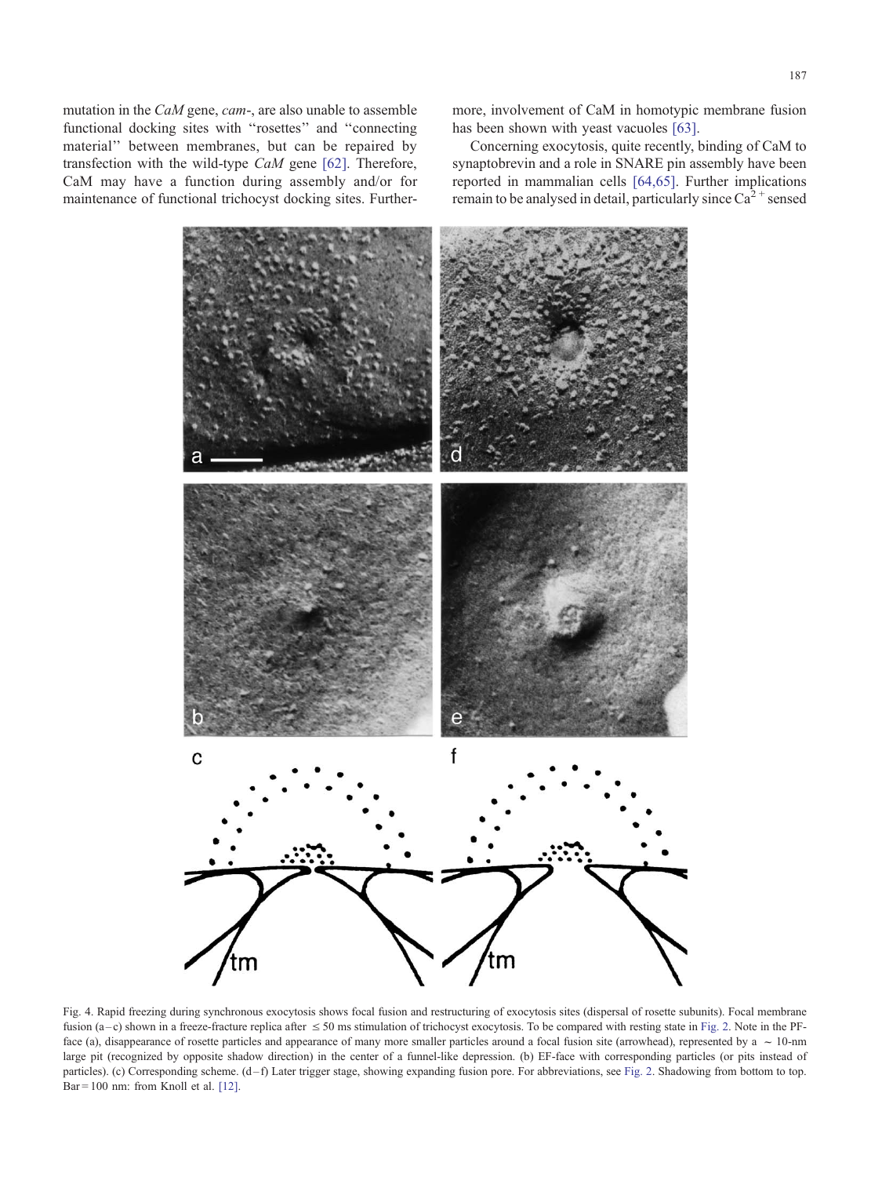<span id="page-4-0"></span>mutation in the CaM gene, cam-, are also unable to assemble functional docking sites with ''rosettes'' and ''connecting material'' between membranes, but can be repaired by transfection with the wild-type CaM gene [\[62\].](#page-9-0) Therefore, CaM may have a function during assembly and/or for maintenance of functional trichocyst docking sites. Furthermore, involvement of CaM in homotypic membrane fusion has been shown with yeast vacuoles [\[63\].](#page-9-0)

Concerning exocytosis, quite recently, binding of CaM to synaptobrevin and a role in SNARE pin assembly have been reported in mammalian cells [\[64,65\].](#page-9-0) Further implications remain to be analysed in detail, particularly since  $Ca^{2+}$  sensed



Fig. 4. Rapid freezing during synchronous exocytosis shows focal fusion and restructuring of exocytosis sites (dispersal of rosette subunits). Focal membrane fusion (a-c) shown in a freeze-fracture replica after  $\leq$  50 ms stimulation of trichocyst exocytosis. To be compared with resting state in [Fig. 2.](#page-2-0) Note in the PFface (a), disappearance of rosette particles and appearance of many more smaller particles around a focal fusion site (arrowhead), represented by a  $\sim$  10-nm large pit (recognized by opposite shadow direction) in the center of a funnel-like depression. (b) EF-face with corresponding particles (or pits instead of particles). (c) Corresponding scheme. (d-f) Later trigger stage, showing expanding fusion pore. For abbreviations, see [Fig. 2.](#page-2-0) Shadowing from bottom to top. Bar = 100 nm: from Knoll et al. [\[12\].](#page-9-0)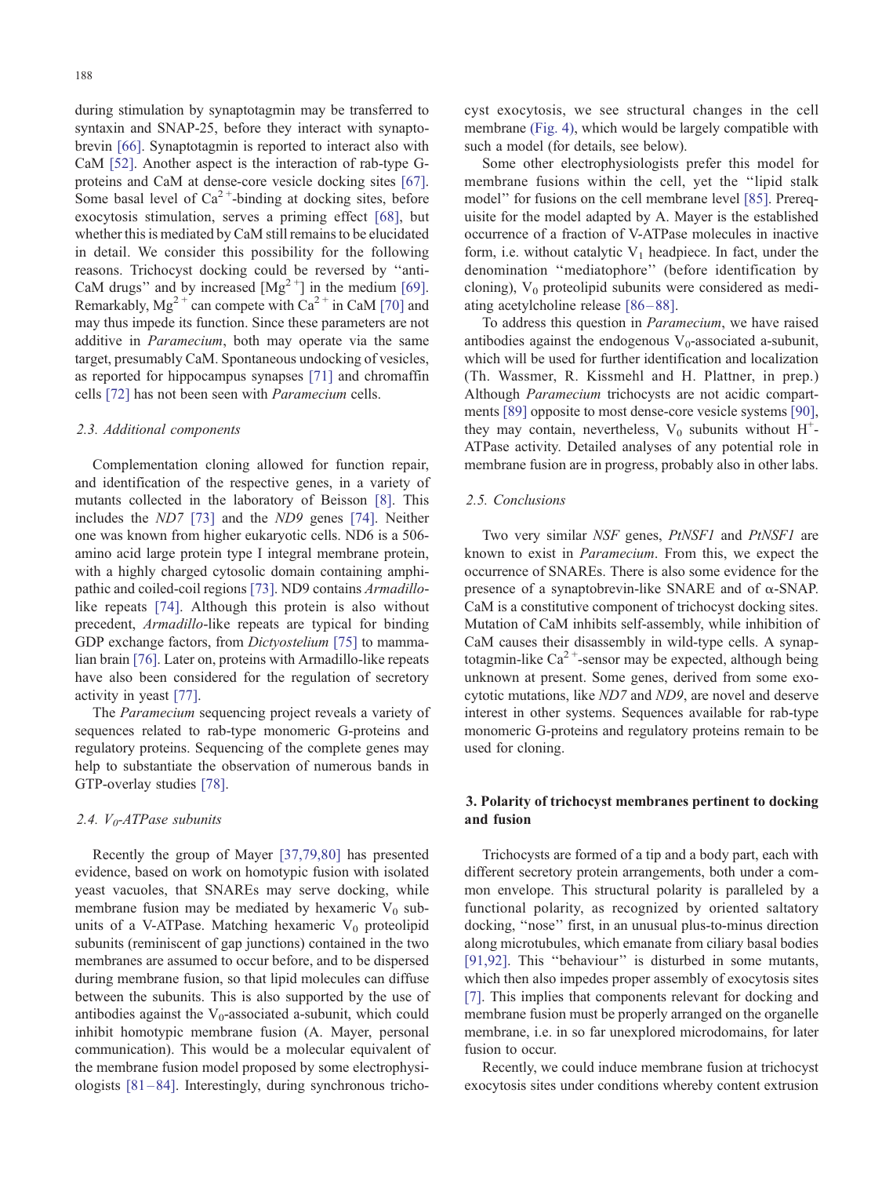during stimulation by synaptotagmin may be transferred to syntaxin and SNAP-25, before they interact with synaptobrevin [\[66\].](#page-10-0) Synaptotagmin is reported to interact also with CaM [\[52\].](#page-9-0) Another aspect is the interaction of rab-type Gproteins and CaM at dense-core vesicle docking sites [\[67\].](#page-10-0) Some basal level of  $Ca^{2+}$ -binding at docking sites, before exocytosis stimulation, serves a priming effect [\[68\],](#page-10-0) but whether this is mediated by CaM still remains to be elucidated in detail. We consider this possibility for the following reasons. Trichocyst docking could be reversed by ''anti-CaM drugs" and by increased  $[Mg^{2+}]$  in the medium [\[69\].](#page-10-0) Remarkably,  $Mg^{2+}$  can compete with  $Ca^{2+}$  in CaM [\[70\]](#page-10-0) and may thus impede its function. Since these parameters are not additive in Paramecium, both may operate via the same target, presumably CaM. Spontaneous undocking of vesicles, as reported for hippocampus synapses [\[71\]](#page-10-0) and chromaffin cells [\[72\]](#page-10-0) has not been seen with Paramecium cells.

#### 2.3. Additional components

Complementation cloning allowed for function repair, and identification of the respective genes, in a variety of mutants collected in the laboratory of Beisson [\[8\].](#page-9-0) This includes the ND7 [\[73\]](#page-10-0) and the ND9 genes [\[74\].](#page-10-0) Neither one was known from higher eukaryotic cells. ND6 is a 506 amino acid large protein type I integral membrane protein, with a highly charged cytosolic domain containing amphipathic and coiled-coil regions [\[73\].](#page-10-0) ND9 contains Armadillolike repeats [\[74\].](#page-10-0) Although this protein is also without precedent, Armadillo-like repeats are typical for binding GDP exchange factors, from *Dictyostelium* [\[75\]](#page-10-0) to mammalian brain [\[76\].](#page-10-0) Later on, proteins with Armadillo-like repeats have also been considered for the regulation of secretory activity in yeast [\[77\].](#page-10-0)

The Paramecium sequencing project reveals a variety of sequences related to rab-type monomeric G-proteins and regulatory proteins. Sequencing of the complete genes may help to substantiate the observation of numerous bands in GTP-overlay studies [\[78\].](#page-10-0)

## 2.4.  $V_0$ -ATPase subunits

Recently the group of Mayer [\[37,79,80\]](#page-9-0) has presented evidence, based on work on homotypic fusion with isolated yeast vacuoles, that SNAREs may serve docking, while membrane fusion may be mediated by hexameric  $V_0$  subunits of a V-ATPase. Matching hexameric  $V_0$  proteolipid subunits (reminiscent of gap junctions) contained in the two membranes are assumed to occur before, and to be dispersed during membrane fusion, so that lipid molecules can diffuse between the subunits. This is also supported by the use of antibodies against the  $V_0$ -associated a-subunit, which could inhibit homotypic membrane fusion (A. Mayer, personal communication). This would be a molecular equivalent of the membrane fusion model proposed by some electrophysiologists  $[81-84]$ . Interestingly, during synchronous trichocyst exocytosis, we see structural changes in the cell membrane [\(Fig. 4\),](#page-4-0) which would be largely compatible with such a model (for details, see below).

Some other electrophysiologists prefer this model for membrane fusions within the cell, yet the ''lipid stalk model'' for fusions on the cell membrane level [\[85\].](#page-10-0) Prerequisite for the model adapted by A. Mayer is the established occurrence of a fraction of V-ATPase molecules in inactive form, i.e. without catalytic  $V_1$  headpiece. In fact, under the denomination ''mediatophore'' (before identification by cloning),  $V_0$  proteolipid subunits were considered as mediating acetylcholine release [\[86 – 88\].](#page-10-0)

To address this question in Paramecium, we have raised antibodies against the endogenous  $V_0$ -associated a-subunit, which will be used for further identification and localization (Th. Wassmer, R. Kissmehl and H. Plattner, in prep.) Although Paramecium trichocysts are not acidic compartments [\[89\]](#page-10-0) opposite to most dense-core vesicle systems [\[90\],](#page-10-0) they may contain, nevertheless,  $V_0$  subunits without  $H^+$ -ATPase activity. Detailed analyses of any potential role in membrane fusion are in progress, probably also in other labs.

## 2.5. Conclusions

Two very similar NSF genes, PtNSF1 and PtNSF1 are known to exist in Paramecium. From this, we expect the occurrence of SNAREs. There is also some evidence for the presence of a synaptobrevin-like SNARE and of  $\alpha$ -SNAP. CaM is a constitutive component of trichocyst docking sites. Mutation of CaM inhibits self-assembly, while inhibition of CaM causes their disassembly in wild-type cells. A synaptotagmin-like  $Ca^{2+}$ -sensor may be expected, although being unknown at present. Some genes, derived from some exocytotic mutations, like ND7 and ND9, are novel and deserve interest in other systems. Sequences available for rab-type monomeric G-proteins and regulatory proteins remain to be used for cloning.

## 3. Polarity of trichocyst membranes pertinent to docking and fusion

Trichocysts are formed of a tip and a body part, each with different secretory protein arrangements, both under a common envelope. This structural polarity is paralleled by a functional polarity, as recognized by oriented saltatory docking, ''nose'' first, in an unusual plus-to-minus direction along microtubules, which emanate from ciliary basal bodies [\[91,92\].](#page-10-0) This "behaviour" is disturbed in some mutants, which then also impedes proper assembly of exocytosis sites [\[7\].](#page-9-0) This implies that components relevant for docking and membrane fusion must be properly arranged on the organelle membrane, i.e. in so far unexplored microdomains, for later fusion to occur.

Recently, we could induce membrane fusion at trichocyst exocytosis sites under conditions whereby content extrusion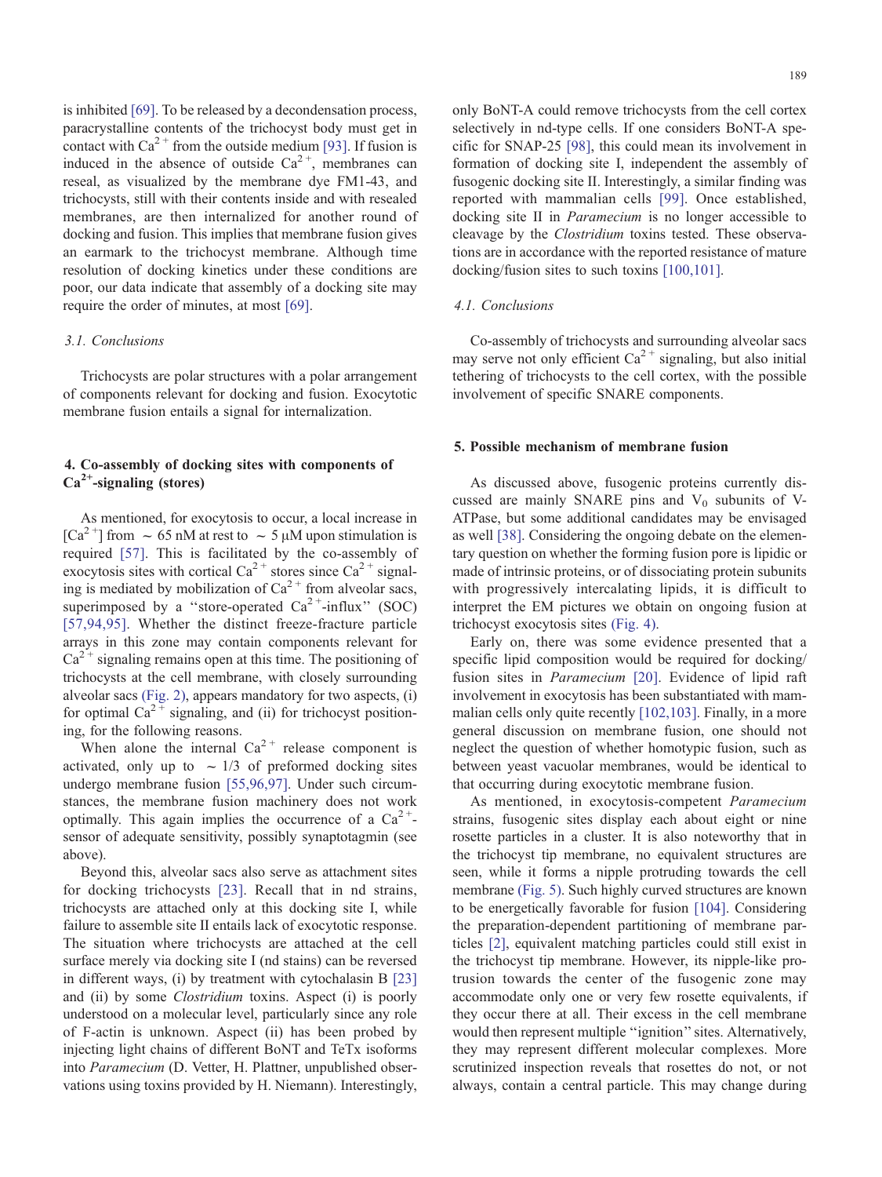is inhibited [\[69\].](#page-10-0) To be released by a decondensation process, paracrystalline contents of the trichocyst body must get in contact with  $Ca^{2+}$  from the outside medium [\[93\].](#page-10-0) If fusion is induced in the absence of outside  $Ca^{2+}$ , membranes can reseal, as visualized by the membrane dye FM1-43, and trichocysts, still with their contents inside and with resealed membranes, are then internalized for another round of docking and fusion. This implies that membrane fusion gives an earmark to the trichocyst membrane. Although time resolution of docking kinetics under these conditions are poor, our data indicate that assembly of a docking site may require the order of minutes, at most [\[69\].](#page-10-0)

## 3.1. Conclusions

Trichocysts are polar structures with a polar arrangement of components relevant for docking and fusion. Exocytotic membrane fusion entails a signal for internalization.

## 4. Co-assembly of docking sites with components of  $Ca<sup>2+</sup>$ -signaling (stores)

As mentioned, for exocytosis to occur, a local increase in  $[Ca^{2+}]$  from  $\sim 65$  nM at rest to  $\sim 5 \mu$ M upon stimulation is required [\[57\].](#page-9-0) This is facilitated by the co-assembly of exocytosis sites with cortical Ca<sup>2+</sup> stores since Ca<sup>2+</sup> signaling is mediated by mobilization of  $Ca^{2+}$  from alveolar sacs, superimposed by a "store-operated  $Ca^{2+}$ -influx" (SOC) [\[57,94,95\].](#page-9-0) Whether the distinct freeze-fracture particle arrays in this zone may contain components relevant for  $Ca<sup>2+</sup>$  signaling remains open at this time. The positioning of trichocysts at the cell membrane, with closely surrounding alveolar sacs [\(Fig. 2\),](#page-2-0) appears mandatory for two aspects, (i) for optimal  $Ca^{2+}$  signaling, and (ii) for trichocyst positioning, for the following reasons.

When alone the internal  $Ca^{2+}$  release component is activated, only up to  $\sim$  1/3 of preformed docking sites undergo membrane fusion [\[55,96,97\].](#page-9-0) Under such circumstances, the membrane fusion machinery does not work optimally. This again implies the occurrence of a  $Ca^{2+}$ sensor of adequate sensitivity, possibly synaptotagmin (see above).

Beyond this, alveolar sacs also serve as attachment sites for docking trichocysts [\[23\].](#page-9-0) Recall that in nd strains, trichocysts are attached only at this docking site I, while failure to assemble site II entails lack of exocytotic response. The situation where trichocysts are attached at the cell surface merely via docking site I (nd stains) can be reversed in different ways, (i) by treatment with cytochalasin B [\[23\]](#page-9-0) and (ii) by some *Clostridium* toxins. Aspect (i) is poorly understood on a molecular level, particularly since any role of F-actin is unknown. Aspect (ii) has been probed by injecting light chains of different BoNT and TeTx isoforms into Paramecium (D. Vetter, H. Plattner, unpublished observations using toxins provided by H. Niemann). Interestingly,

only BoNT-A could remove trichocysts from the cell cortex selectively in nd-type cells. If one considers BoNT-A specific for SNAP-25 [\[98\],](#page-10-0) this could mean its involvement in formation of docking site I, independent the assembly of fusogenic docking site II. Interestingly, a similar finding was reported with mammalian cells [\[99\].](#page-10-0) Once established, docking site II in Paramecium is no longer accessible to cleavage by the Clostridium toxins tested. These observations are in accordance with the reported resistance of mature docking/fusion sites to such toxins [\[100,101\].](#page-10-0)

#### 4.1. Conclusions

Co-assembly of trichocysts and surrounding alveolar sacs may serve not only efficient  $Ca^{2+}$  signaling, but also initial tethering of trichocysts to the cell cortex, with the possible involvement of specific SNARE components.

#### 5. Possible mechanism of membrane fusion

As discussed above, fusogenic proteins currently discussed are mainly SNARE pins and  $V_0$  subunits of V-ATPase, but some additional candidates may be envisaged as well [\[38\].](#page-9-0) Considering the ongoing debate on the elementary question on whether the forming fusion pore is lipidic or made of intrinsic proteins, or of dissociating protein subunits with progressively intercalating lipids, it is difficult to interpret the EM pictures we obtain on ongoing fusion at trichocyst exocytosis sites [\(Fig. 4\).](#page-4-0)

Early on, there was some evidence presented that a specific lipid composition would be required for docking/ fusion sites in Paramecium [\[20\].](#page-9-0) Evidence of lipid raft involvement in exocytosis has been substantiated with mammalian cells only quite recently [\[102,103\].](#page-10-0) Finally, in a more general discussion on membrane fusion, one should not neglect the question of whether homotypic fusion, such as between yeast vacuolar membranes, would be identical to that occurring during exocytotic membrane fusion.

As mentioned, in exocytosis-competent Paramecium strains, fusogenic sites display each about eight or nine rosette particles in a cluster. It is also noteworthy that in the trichocyst tip membrane, no equivalent structures are seen, while it forms a nipple protruding towards the cell membrane [\(Fig. 5\).](#page-7-0) Such highly curved structures are known to be energetically favorable for fusion [\[104\].](#page-10-0) Considering the preparation-dependent partitioning of membrane particles [\[2\],](#page-9-0) equivalent matching particles could still exist in the trichocyst tip membrane. However, its nipple-like protrusion towards the center of the fusogenic zone may accommodate only one or very few rosette equivalents, if they occur there at all. Their excess in the cell membrane would then represent multiple ''ignition'' sites. Alternatively, they may represent different molecular complexes. More scrutinized inspection reveals that rosettes do not, or not always, contain a central particle. This may change during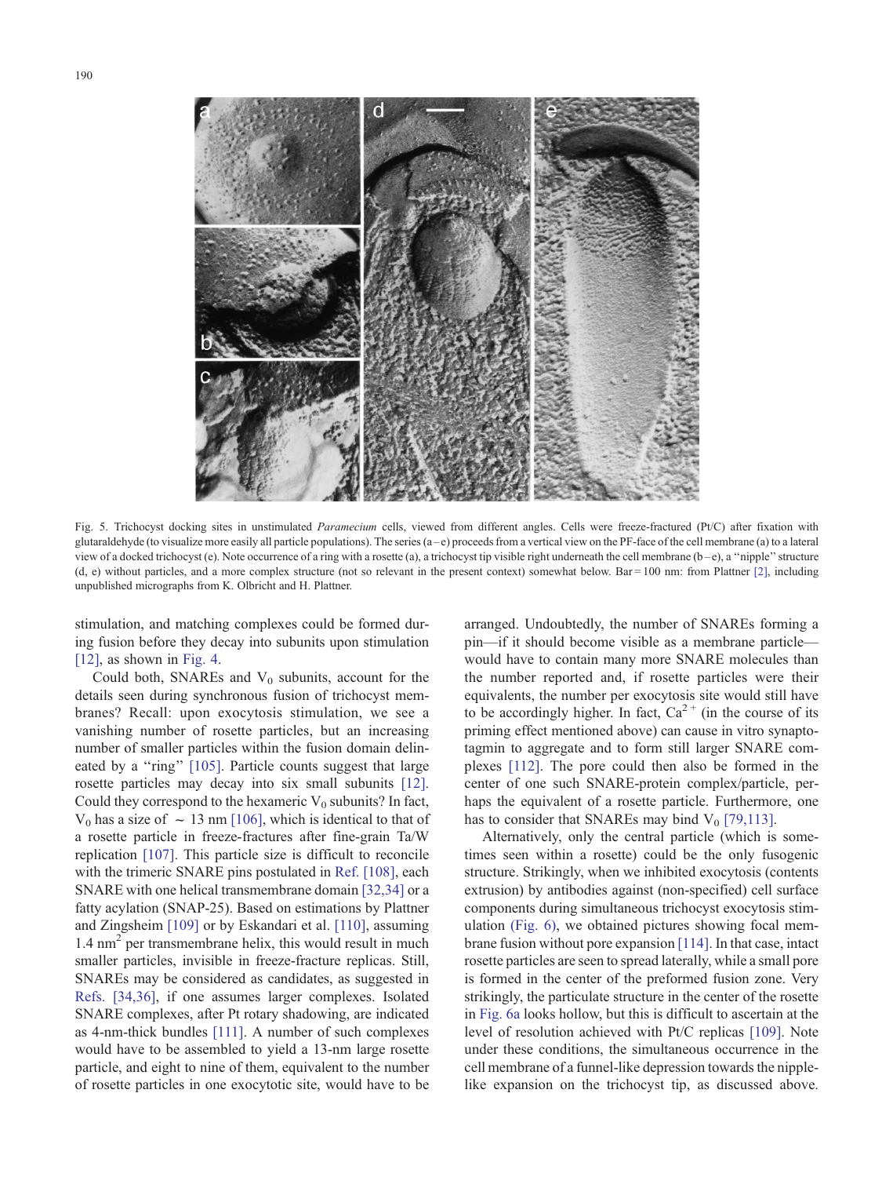<span id="page-7-0"></span>

Fig. 5. Trichocyst docking sites in unstimulated Paramecium cells, viewed from different angles. Cells were freeze-fractured (Pt/C) after fixation with glutaraldehyde (to visualize more easily all particle populations). The series  $(a-e)$  proceeds from a vertical view on the PF-face of the cell membrane (a) to a lateral view of a docked trichocyst (e). Note occurrence of a ring with a rosette (a), a trichocyst tip visible right underneath the cell membrane (b-e), a "nipple" structure  $(d, e)$  without particles, and a more complex structure (not so relevant in the present context) somewhat below. Bar = 100 nm: from Plattner [\[2\],](#page-9-0) including unpublished micrographs from K. Olbricht and H. Plattner.

stimulation, and matching complexes could be formed during fusion before they decay into subunits upon stimulation [\[12\]](#page-9-0), as shown in [Fig. 4.](#page-4-0)

Could both, SNAREs and  $V_0$  subunits, account for the details seen during synchronous fusion of trichocyst membranes? Recall: upon exocytosis stimulation, we see a vanishing number of rosette particles, but an increasing number of smaller particles within the fusion domain delin-eated by a "ring" [\[105\].](#page-10-0) Particle counts suggest that large rosette particles may decay into six small subunits [\[12\].](#page-9-0) Could they correspond to the hexameric  $V_0$  subunits? In fact,  $V_0$  has a size of  $\sim 13$  nm [\[106\],](#page-10-0) which is identical to that of a rosette particle in freeze-fractures after fine-grain Ta/W replication [\[107\].](#page-10-0) This particle size is difficult to reconcile with the trimeric SNARE pins postulated in [Ref. \[108\],](#page-10-0) each SNARE with one helical transmembrane domain [\[32,34\]](#page-9-0) or a fatty acylation (SNAP-25). Based on estimations by Plattner and Zingsheim [\[109\]](#page-10-0) or by Eskandari et al. [\[110\],](#page-10-0) assuming  $1.4 \text{ nm}^2$  per transmembrane helix, this would result in much smaller particles, invisible in freeze-fracture replicas. Still, SNAREs may be considered as candidates, as suggested in [Refs. \[34,36\],](#page-9-0) if one assumes larger complexes. Isolated SNARE complexes, after Pt rotary shadowing, are indicated as 4-nm-thick bundles [\[111\].](#page-10-0) A number of such complexes would have to be assembled to yield a 13-nm large rosette particle, and eight to nine of them, equivalent to the number of rosette particles in one exocytotic site, would have to be arranged. Undoubtedly, the number of SNAREs forming a pin—if it should become visible as a membrane particle would have to contain many more SNARE molecules than the number reported and, if rosette particles were their equivalents, the number per exocytosis site would still have to be accordingly higher. In fact,  $Ca^{2+}$  (in the course of its priming effect mentioned above) can cause in vitro synaptotagmin to aggregate and to form still larger SNARE complexes [\[112\].](#page-10-0) The pore could then also be formed in the center of one such SNARE-protein complex/particle, perhaps the equivalent of a rosette particle. Furthermore, one has to consider that SNAREs may bind  $V_0$  [\[79,113\].](#page-10-0)

Alternatively, only the central particle (which is sometimes seen within a rosette) could be the only fusogenic structure. Strikingly, when we inhibited exocytosis (contents extrusion) by antibodies against (non-specified) cell surface components during simultaneous trichocyst exocytosis stimulation [\(Fig. 6\),](#page-8-0) we obtained pictures showing focal membrane fusion without pore expansion [\[114\].](#page-10-0) In that case, intact rosette particles are seen to spread laterally, while a small pore is formed in the center of the preformed fusion zone. Very strikingly, the particulate structure in the center of the rosette in [Fig. 6a](#page-8-0) looks hollow, but this is difficult to ascertain at the level of resolution achieved with Pt/C replicas [\[109\].](#page-10-0) Note under these conditions, the simultaneous occurrence in the cell membrane of a funnel-like depression towards the nipplelike expansion on the trichocyst tip, as discussed above.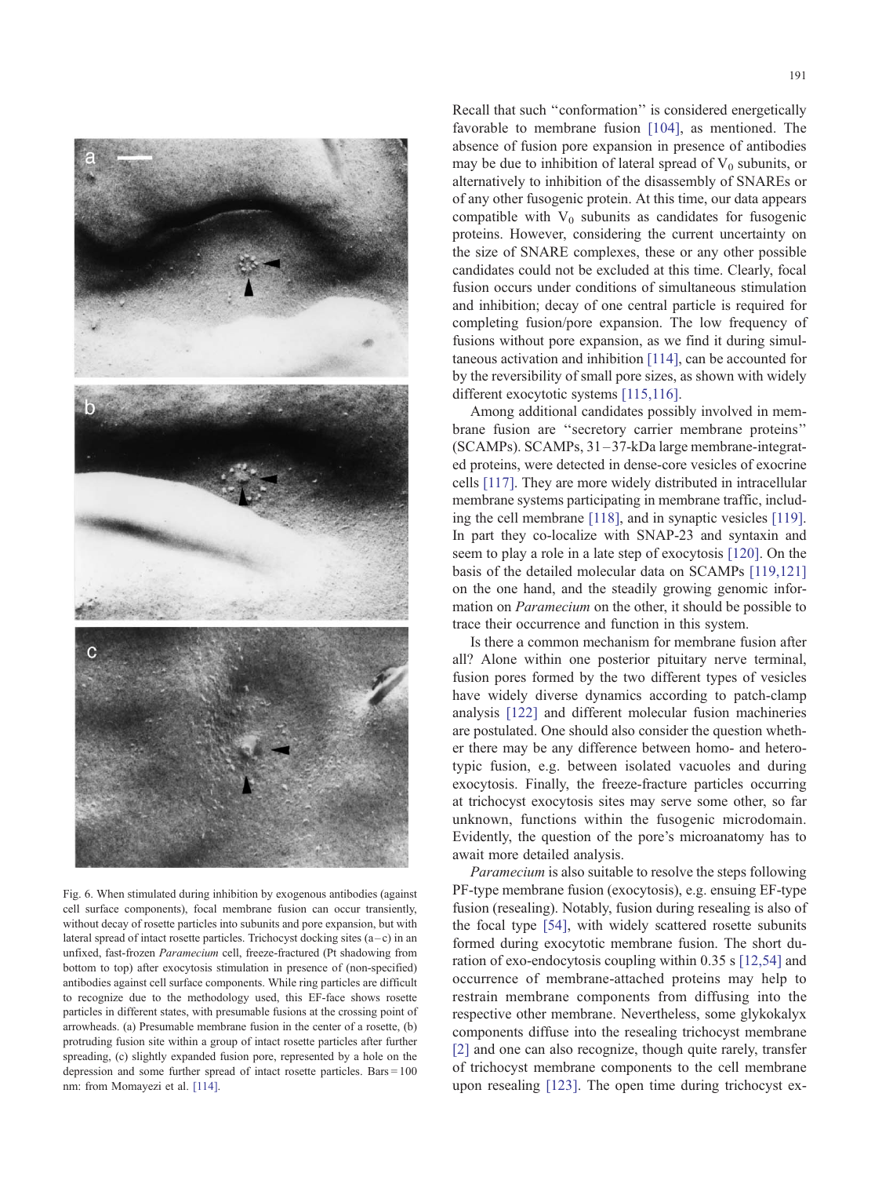<span id="page-8-0"></span>

Fig. 6. When stimulated during inhibition by exogenous antibodies (against cell surface components), focal membrane fusion can occur transiently, without decay of rosette particles into subunits and pore expansion, but with lateral spread of intact rosette particles. Trichocyst docking sites  $(a-c)$  in an unfixed, fast-frozen Paramecium cell, freeze-fractured (Pt shadowing from bottom to top) after exocytosis stimulation in presence of (non-specified) antibodies against cell surface components. While ring particles are difficult to recognize due to the methodology used, this EF-face shows rosette particles in different states, with presumable fusions at the crossing point of arrowheads. (a) Presumable membrane fusion in the center of a rosette, (b) protruding fusion site within a group of intact rosette particles after further spreading, (c) slightly expanded fusion pore, represented by a hole on the depression and some further spread of intact rosette particles. Bars = 100 nm: from Momayezi et al. [\[114\].](#page-10-0)

Recall that such ''conformation'' is considered energetically favorable to membrane fusion [\[104\],](#page-10-0) as mentioned. The absence of fusion pore expansion in presence of antibodies may be due to inhibition of lateral spread of  $V_0$  subunits, or alternatively to inhibition of the disassembly of SNAREs or of any other fusogenic protein. At this time, our data appears compatible with  $V_0$  subunits as candidates for fusogenic proteins. However, considering the current uncertainty on the size of SNARE complexes, these or any other possible candidates could not be excluded at this time. Clearly, focal fusion occurs under conditions of simultaneous stimulation and inhibition; decay of one central particle is required for completing fusion/pore expansion. The low frequency of fusions without pore expansion, as we find it during simultaneous activation and inhibition [\[114\],](#page-10-0) can be accounted for by the reversibility of small pore sizes, as shown with widely different exocytotic systems [\[115,116\].](#page-10-0)

Among additional candidates possibly involved in membrane fusion are ''secretory carrier membrane proteins'' (SCAMPs). SCAMPs, 31 –37-kDa large membrane-integrated proteins, were detected in dense-core vesicles of exocrine cells [\[117\].](#page-10-0) They are more widely distributed in intracellular membrane systems participating in membrane traffic, including the cell membrane [\[118\],](#page-10-0) and in synaptic vesicles [\[119\].](#page-10-0) In part they co-localize with SNAP-23 and syntaxin and seem to play a role in a late step of exocytosis [\[120\].](#page-10-0) On the basis of the detailed molecular data on SCAMPs [\[119,121\]](#page-10-0) on the one hand, and the steadily growing genomic information on Paramecium on the other, it should be possible to trace their occurrence and function in this system.

Is there a common mechanism for membrane fusion after all? Alone within one posterior pituitary nerve terminal, fusion pores formed by the two different types of vesicles have widely diverse dynamics according to patch-clamp analysis [\[122\]](#page-10-0) and different molecular fusion machineries are postulated. One should also consider the question whether there may be any difference between homo- and heterotypic fusion, e.g. between isolated vacuoles and during exocytosis. Finally, the freeze-fracture particles occurring at trichocyst exocytosis sites may serve some other, so far unknown, functions within the fusogenic microdomain. Evidently, the question of the pore's microanatomy has to await more detailed analysis.

Paramecium is also suitable to resolve the steps following PF-type membrane fusion (exocytosis), e.g. ensuing EF-type fusion (resealing). Notably, fusion during resealing is also of the focal type [\[54\],](#page-9-0) with widely scattered rosette subunits formed during exocytotic membrane fusion. The short duration of exo-endocytosis coupling within 0.35 s [\[12,54\]](#page-9-0) and occurrence of membrane-attached proteins may help to restrain membrane components from diffusing into the respective other membrane. Nevertheless, some glykokalyx components diffuse into the resealing trichocyst membrane [\[2\]](#page-9-0) and one can also recognize, though quite rarely, transfer of trichocyst membrane components to the cell membrane upon resealing [\[123\].](#page-10-0) The open time during trichocyst ex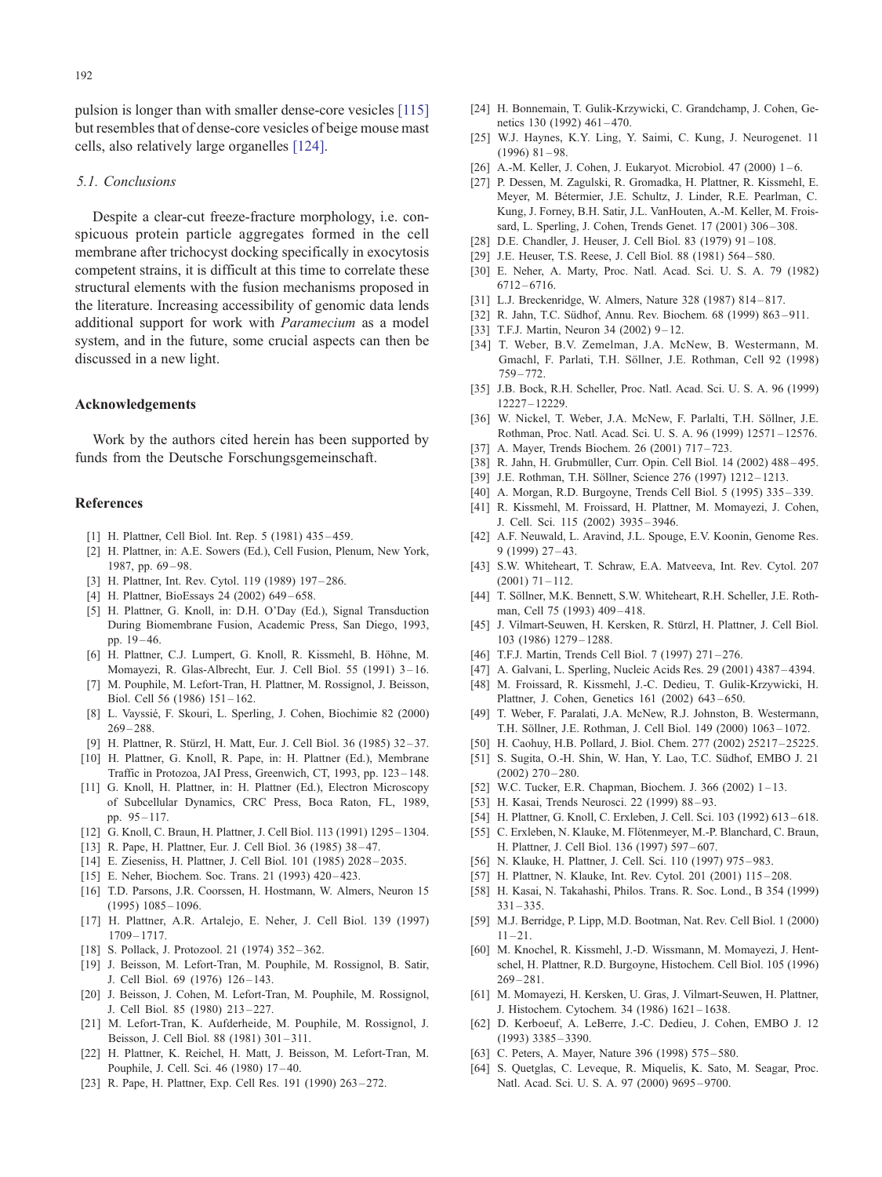<span id="page-9-0"></span>pulsion is longer than with smaller dense-core vesicles [\[115\]](#page-10-0) but resembles that of dense-core vesicles of beige mouse mast cells, also relatively large organelles [\[124\].](#page-10-0)

#### 5.1. Conclusions

Despite a clear-cut freeze-fracture morphology, i.e. conspicuous protein particle aggregates formed in the cell membrane after trichocyst docking specifically in exocytosis competent strains, it is difficult at this time to correlate these structural elements with the fusion mechanisms proposed in the literature. Increasing accessibility of genomic data lends additional support for work with Paramecium as a model system, and in the future, some crucial aspects can then be discussed in a new light.

#### Acknowledgements

Work by the authors cited herein has been supported by funds from the Deutsche Forschungsgemeinschaft.

#### References

- [1] H. Plattner, Cell Biol. Int. Rep. 5 (1981) 435-459.
- [2] H. Plattner, in: A.E. Sowers (Ed.), Cell Fusion, Plenum, New York, 1987, pp. 69-98.
- [3] H. Plattner, Int. Rev. Cytol. 119 (1989) 197-286.
- [4] H. Plattner, BioEssays 24 (2002) 649-658.
- [5] H. Plattner, G. Knoll, in: D.H. O'Day (Ed.), Signal Transduction During Biomembrane Fusion, Academic Press, San Diego, 1993, pp. 19 – 46.
- [6] H. Plattner, C.J. Lumpert, G. Knoll, R. Kissmehl, B. Höhne, M. Momayezi, R. Glas-Albrecht, Eur. J. Cell Biol. 55 (1991) 3 – 16.
- [7] M. Pouphile, M. Lefort-Tran, H. Plattner, M. Rossignol, J. Beisson, Biol. Cell 56 (1986) 151 – 162.
- [8] L. Vayssié, F. Skouri, L. Sperling, J. Cohen, Biochimie 82 (2000)  $269 - 288.$
- [9] H. Plattner, R. Stürzl, H. Matt, Eur. J. Cell Biol. 36 (1985) 32-37.
- [10] H. Plattner, G. Knoll, R. Pape, in: H. Plattner (Ed.), Membrane Traffic in Protozoa, JAI Press, Greenwich, CT, 1993, pp. 123 – 148.
- [11] G. Knoll, H. Plattner, in: H. Plattner (Ed.), Electron Microscopy of Subcellular Dynamics, CRC Press, Boca Raton, FL, 1989, pp. 95 – 117.
- [12] G. Knoll, C. Braun, H. Plattner, J. Cell Biol. 113 (1991) 1295 1304.
- [13] R. Pape, H. Plattner, Eur. J. Cell Biol. 36 (1985) 38-47.
- [14] E. Zieseniss, H. Plattner, J. Cell Biol. 101 (1985) 2028 2035.
- [15] E. Neher, Biochem. Soc. Trans. 21 (1993) 420-423.
- [16] T.D. Parsons, J.R. Coorssen, H. Hostmann, W. Almers, Neuron 15  $(1995)$  1085 – 1096.
- [17] H. Plattner, A.R. Artalejo, E. Neher, J. Cell Biol. 139 (1997) 1709 – 1717.
- [18] S. Pollack, J. Protozool. 21 (1974) 352-362.
- [19] J. Beisson, M. Lefort-Tran, M. Pouphile, M. Rossignol, B. Satir, J. Cell Biol. 69 (1976) 126 – 143.
- [20] J. Beisson, J. Cohen, M. Lefort-Tran, M. Pouphile, M. Rossignol, J. Cell Biol. 85 (1980) 213 – 227.
- [21] M. Lefort-Tran, K. Aufderheide, M. Pouphile, M. Rossignol, J. Beisson, J. Cell Biol. 88 (1981) 301 – 311.
- [22] H. Plattner, K. Reichel, H. Matt, J. Beisson, M. Lefort-Tran, M. Pouphile, J. Cell. Sci. 46 (1980) 17 – 40.
- [23] R. Pape, H. Plattner, Exp. Cell Res. 191 (1990) 263-272.
- [24] H. Bonnemain, T. Gulik-Krzywicki, C. Grandchamp, J. Cohen, Genetics 130 (1992) 461-470
- [25] W.J. Haynes, K.Y. Ling, Y. Saimi, C. Kung, J. Neurogenet. 11  $(1996)$  81 – 98.
- [26] A.-M. Keller, J. Cohen, J. Eukaryot. Microbiol. 47 (2000) 1-6.
- [27] P. Dessen, M. Zagulski, R. Gromadka, H. Plattner, R. Kissmehl, E. Meyer, M. Bétermier, J.E. Schultz, J. Linder, R.E. Pearlman, C. Kung, J. Forney, B.H. Satir, J.L. VanHouten, A.-M. Keller, M. Froissard, L. Sperling, J. Cohen, Trends Genet. 17 (2001) 306 – 308.
- [28] D.E. Chandler, J. Heuser, J. Cell Biol. 83 (1979) 91 108.
- [29] J.E. Heuser, T.S. Reese, J. Cell Biol. 88 (1981) 564 580.
- [30] E. Neher, A. Marty, Proc. Natl. Acad. Sci. U. S. A. 79 (1982) 6712 – 6716.
- [31] L.J. Breckenridge, W. Almers, Nature 328 (1987) 814 817.
- [32] R. Jahn, T.C. Südhof, Annu. Rev. Biochem. 68 (1999) 863-911.
- [33] T.F.J. Martin, Neuron 34 (2002)  $9-12$ .
- [34] T. Weber, B.V. Zemelman, J.A. McNew, B. Westermann, M. Gmachl, F. Parlati, T.H. Söllner, J.E. Rothman, Cell 92 (1998)  $759 - 772$
- [35] J.B. Bock, R.H. Scheller, Proc. Natl. Acad. Sci. U. S. A. 96 (1999) 12227 – 12229.
- [36] W. Nickel, T. Weber, J.A. McNew, F. Parlalti, T.H. Söllner, J.E. Rothman, Proc. Natl. Acad. Sci. U. S. A. 96 (1999) 12571 – 12576.
- [37] A. Mayer, Trends Biochem. 26 (2001) 717-723.
- [38] R. Jahn, H. Grubmüller, Curr. Opin. Cell Biol. 14 (2002) 488-495.
- [39] J.E. Rothman, T.H. Söllner, Science 276 (1997) 1212-1213.
- [40] A. Morgan, R.D. Burgoyne, Trends Cell Biol. 5 (1995) 335 339.
- [41] R. Kissmehl, M. Froissard, H. Plattner, M. Momayezi, J. Cohen, J. Cell. Sci. 115 (2002) 3935 – 3946.
- [42] A.F. Neuwald, L. Aravind, J.L. Spouge, E.V. Koonin, Genome Res. 9 (1999) 27 – 43.
- [43] S.W. Whiteheart, T. Schraw, E.A. Matveeva, Int. Rev. Cytol. 207  $(2001)$  71 – 112.
- [44] T. Söllner, M.K. Bennett, S.W. Whiteheart, R.H. Scheller, J.E. Rothman, Cell 75 (1993) 409-418.
- [45] J. Vilmart-Seuwen, H. Kersken, R. Stürzl, H. Plattner, J. Cell Biol. 103 (1986) 1279 – 1288.
- [46] T.F.J. Martin, Trends Cell Biol. 7 (1997) 271-276.
- [47] A. Galvani, L. Sperling, Nucleic Acids Res. 29 (2001) 4387 4394.
- [48] M. Froissard, R. Kissmehl, J.-C. Dedieu, T. Gulik-Krzywicki, H. Plattner, J. Cohen, Genetics 161 (2002) 643 – 650.
- [49] T. Weber, F. Paralati, J.A. McNew, R.J. Johnston, B. Westermann, T.H. Söllner, J.E. Rothman, J. Cell Biol. 149 (2000) 1063-1072.
- [50] H. Caohuy, H.B. Pollard, J. Biol. Chem. 277 (2002) 25217 25225.
- [51] S. Sugita, O.-H. Shin, W. Han, Y. Lao, T.C. Südhof, EMBO J. 21  $(2002)$  270 – 280.
- [52] W.C. Tucker, E.R. Chapman, Biochem. J. 366 (2002) 1-13.
- [53] H. Kasai, Trends Neurosci. 22 (1999) 88 93.
- [54] H. Plattner, G. Knoll, C. Erxleben, J. Cell. Sci. 103 (1992) 613-618.
- [55] C. Erxleben, N. Klauke, M. Flötenmeyer, M.-P. Blanchard, C. Braun, H. Plattner, J. Cell Biol. 136 (1997) 597 – 607.
- [56] N. Klauke, H. Plattner, J. Cell. Sci. 110 (1997) 975 983.
- [57] H. Plattner, N. Klauke, Int. Rev. Cytol. 201 (2001) 115-208.
- [58] H. Kasai, N. Takahashi, Philos. Trans. R. Soc. Lond., B 354 (1999)  $331 - 335$
- [59] M.J. Berridge, P. Lipp, M.D. Bootman, Nat. Rev. Cell Biol. 1 (2000)  $11 - 21$ .
- [60] M. Knochel, R. Kissmehl, J.-D. Wissmann, M. Momayezi, J. Hentschel, H. Plattner, R.D. Burgoyne, Histochem. Cell Biol. 105 (1996) 269 – 281.
- [61] M. Momayezi, H. Kersken, U. Gras, J. Vilmart-Seuwen, H. Plattner, J. Histochem. Cytochem. 34 (1986) 1621 – 1638.
- [62] D. Kerboeuf, A. LeBerre, J.-C. Dedieu, J. Cohen, EMBO J. 12 (1993) 3385 – 3390.
- [63] C. Peters, A. Mayer, Nature 396 (1998) 575-580.
- [64] S. Quetglas, C. Leveque, R. Miquelis, K. Sato, M. Seagar, Proc. Natl. Acad. Sci. U. S. A. 97 (2000) 9695 – 9700.